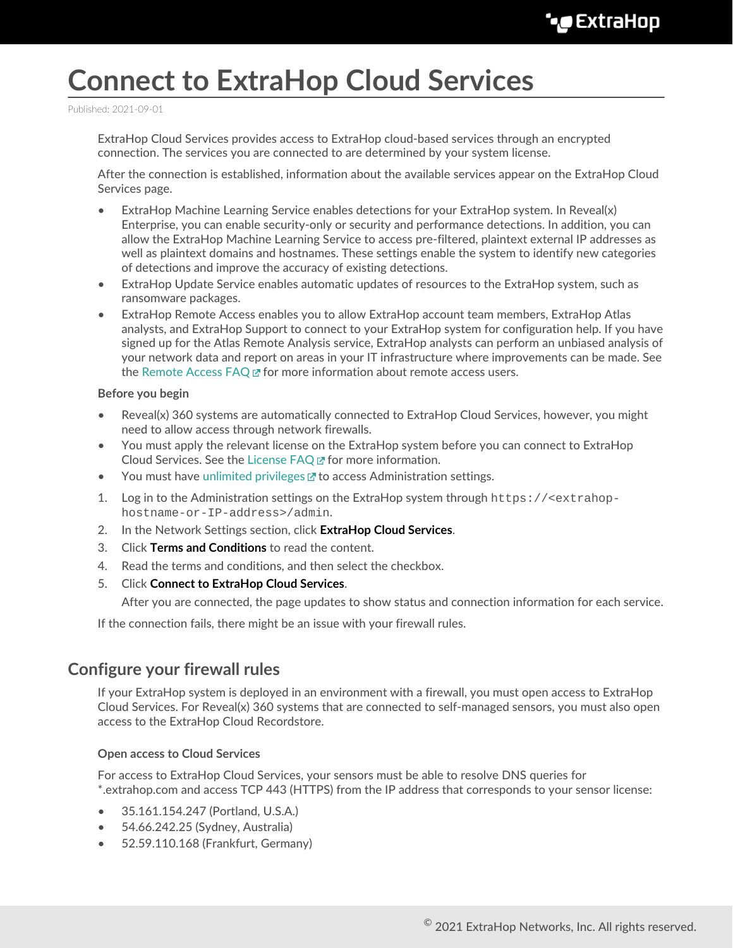# **Connect to ExtraHop Cloud Services**

Published: 2021-09-01

ExtraHop Cloud Services provides access to ExtraHop cloud-based services through an encrypted connection. The services you are connected to are determined by your system license.

After the connection is established, information about the available services appear on the ExtraHop Cloud Services page.

- ExtraHop Machine Learning Service enables detections for your ExtraHop system. In Reveal(x) Enterprise, you can enable security-only or security and performance detections. In addition, you can allow the ExtraHop Machine Learning Service to access pre-filtered, plaintext external IP addresses as well as plaintext domains and hostnames. These settings enable the system to identify new categories of detections and improve the accuracy of existing detections.
- ExtraHop Update Service enables automatic updates of resources to the ExtraHop system, such as ransomware packages.
- ExtraHop Remote Access enables you to allow ExtraHop account team members, ExtraHop Atlas analysts, and ExtraHop Support to connect to your ExtraHop system for configuration help. If you have signed up for the Atlas Remote Analysis service, ExtraHop analysts can perform an unbiased analysis of your network data and report on areas in your IT infrastructure where improvements can be made. See the [Remote Access FAQ](https://docs.extrahop.com/8.3/remote-access-faq)  $\mathbb Z$  for more information about remote access users.

#### **Before you begin**

- Reveal(x) 360 systems are automatically connected to ExtraHop Cloud Services, however, you might need to allow access through network firewalls.
- You must apply the relevant license on the ExtraHop system before you can connect to ExtraHop Cloud Services. See the [License FAQ](https://docs.extrahop.com/8.3/license-faq)  $\Xi$  for more information.
- You must have [unlimited privileges](https://docs.extrahop.com/8.3/eh-admin-ui-guide/#user-privileges) **T** to access Administration settings.
- 1. Log in to the Administration settings on the ExtraHop system through https://<extrahophostname-or-IP-address>/admin.
- 2. In the Network Settings section, click **ExtraHop Cloud Services**.
- 3. Click **Terms and Conditions** to read the content.
- 4. Read the terms and conditions, and then select the checkbox.
- 5. Click **Connect to ExtraHop Cloud Services**.

After you are connected, the page updates to show status and connection information for each service.

If the connection fails, there might be an issue with your firewall rules.

## **Configure your firewall rules**

If your ExtraHop system is deployed in an environment with a firewall, you must open access to ExtraHop Cloud Services. For Reveal(x) 360 systems that are connected to self-managed sensors, you must also open access to the ExtraHop Cloud Recordstore.

## **Open access to Cloud Services**

For access to ExtraHop Cloud Services, your sensors must be able to resolve DNS queries for \*.extrahop.com and access TCP 443 (HTTPS) from the IP address that corresponds to your sensor license:

- 35.161.154.247 (Portland, U.S.A.)
- 54.66.242.25 (Sydney, Australia)
- 52.59.110.168 (Frankfurt, Germany)